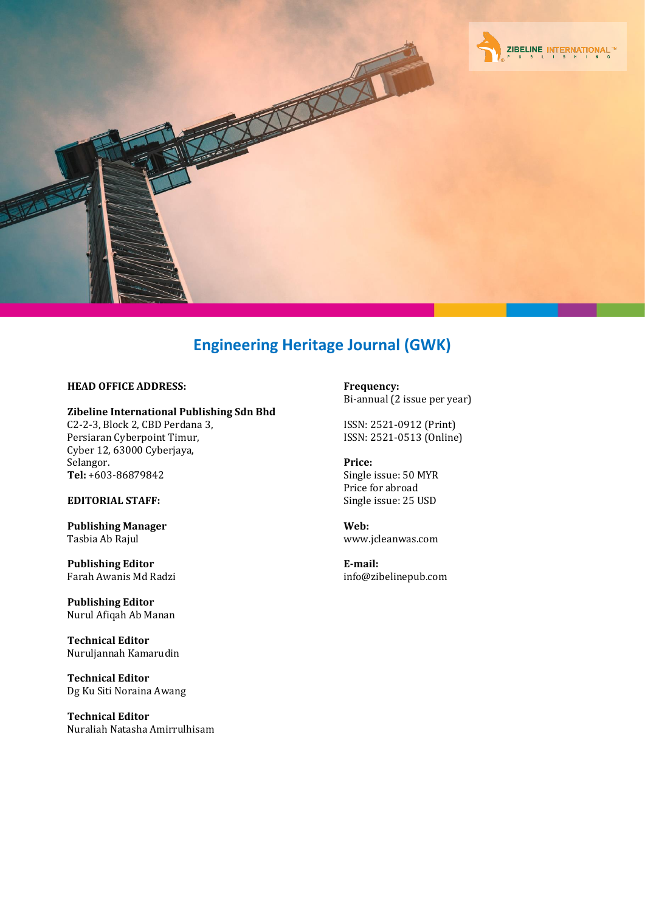

### **HEAD OFFICE ADDRESS:**

### **Zibeline International Publishing Sdn Bhd**

C2-2-3, Block 2, CBD Perdana 3, Persiaran Cyberpoint Timur, Cyber 12, 63000 Cyberjaya, Selangor. **Tel:** +603-86879842

### **EDITORIAL STAFF:**

**Publishing Manager** Tasbia Ab Rajul

**Publishing Editor** Farah Awanis Md Radzi

**Publishing Editor** Nurul Afiqah Ab Manan

**Technical Editor** Nuruljannah Kamarudin

**Technical Editor** Dg Ku Siti Noraina Awang

**Technical Editor** Nuraliah Natasha Amirrulhisam **Frequency:** Bi-annual (2 issue per year)

ISSN: 2521-0912 (Print) ISSN: 2521-0513 (Online)

**Price:** Single issue: 50 MYR Price for abroad Single issue: 25 USD

**Web:** [www.jcleanwas.com](http://www.jcleanwas.com/)

**E-mail:** [info@zibelinepub.com](mailto:info@zibelinepub.com)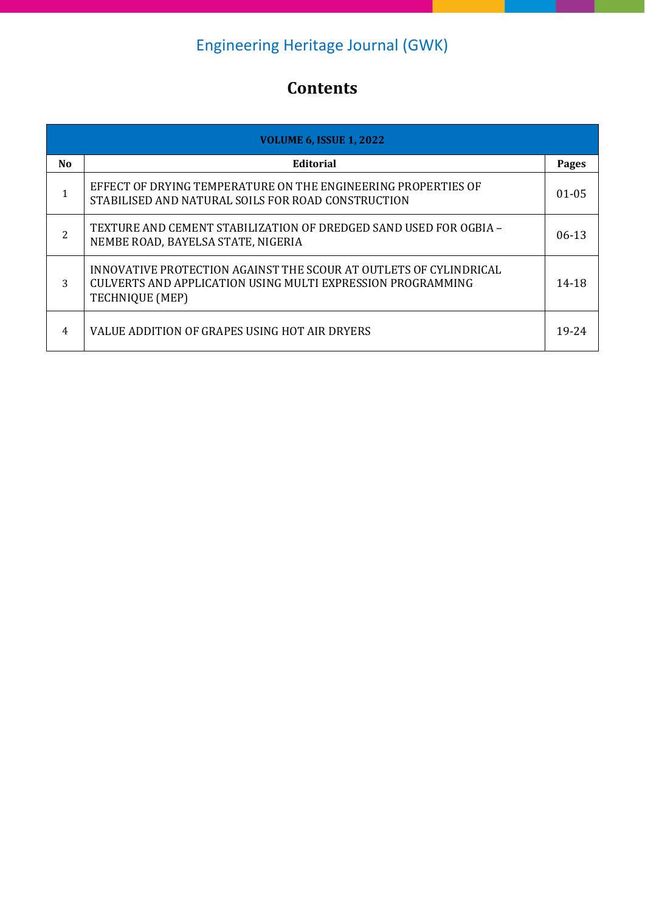# **Contents**

| <b>VOLUME 6, ISSUE 1, 2022</b> |                                                                                                                                                     |            |
|--------------------------------|-----------------------------------------------------------------------------------------------------------------------------------------------------|------------|
| N <sub>0</sub>                 | Editorial                                                                                                                                           | Pages      |
| 1                              | EFFECT OF DRYING TEMPERATURE ON THE ENGINEERING PROPERTIES OF<br>STABILISED AND NATURAL SOILS FOR ROAD CONSTRUCTION                                 | $01 - 0.5$ |
| 2                              | TEXTURE AND CEMENT STABILIZATION OF DREDGED SAND USED FOR OGBIA -<br>NEMBE ROAD, BAYELSA STATE, NIGERIA                                             | $06-13$    |
| 3                              | INNOVATIVE PROTECTION AGAINST THE SCOUR AT OUTLETS OF CYLINDRICAL<br>CULVERTS AND APPLICATION USING MULTI EXPRESSION PROGRAMMING<br>TECHNIQUE (MEP) | 14-18      |
| 4                              | VALUE ADDITION OF GRAPES USING HOT AIR DRYERS                                                                                                       | 19-24      |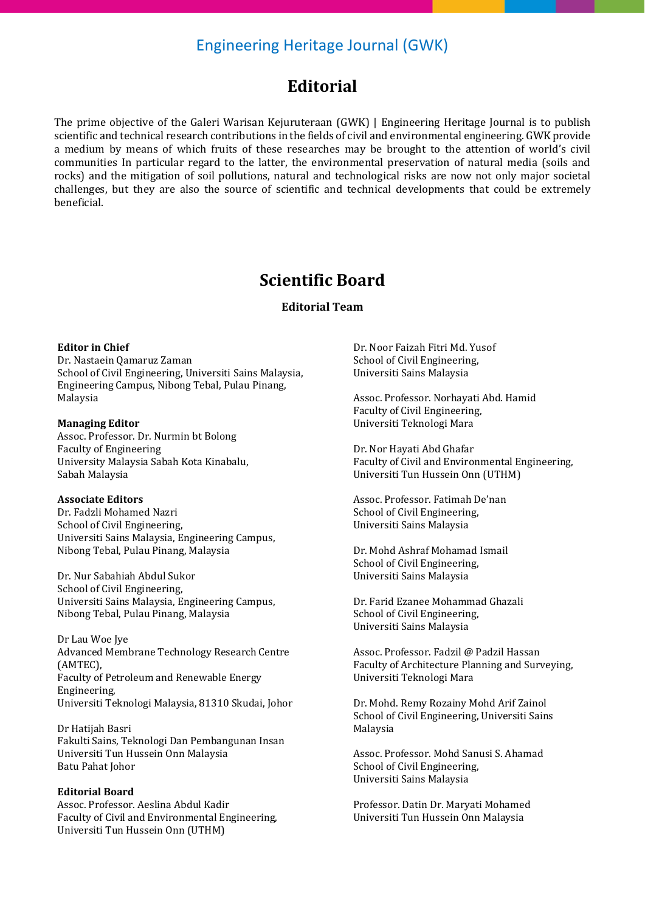### **Editorial**

The prime objective of the Galeri Warisan Kejuruteraan (GWK) | Engineering Heritage Journal is to publish scientific and technical research contributions in the fields of civil and environmental engineering. GWK provide a medium by means of which fruits of these researches may be brought to the attention of world's civil communities In particular regard to the latter, the environmental preservation of natural media (soils and rocks) and the mitigation of soil pollutions, natural and technological risks are now not only major societal challenges, but they are also the source of scientific and technical developments that could be extremely beneficial.

## **Scientific Board**

### **Editorial Team**

### **Editor in Chief**

Dr. Nastaein Qamaruz Zaman School of Civil Engineering, Universiti Sains Malaysia, Engineering Campus, Nibong Tebal, Pulau Pinang, Malaysia

### **Managing Editor**

Assoc. Professor. Dr. Nurmin bt Bolong Faculty of Engineering University Malaysia Sabah Kota Kinabalu, Sabah Malaysia

### **Associate Editors**

Dr. Fadzli Mohamed Nazri School of Civil Engineering, Universiti Sains Malaysia, Engineering Campus, Nibong Tebal, Pulau Pinang, Malaysia

Dr. Nur Sabahiah Abdul Sukor School of Civil Engineering, Universiti Sains Malaysia, Engineering Campus, Nibong Tebal, Pulau Pinang, Malaysia

Dr Lau Woe Jye Advanced Membrane Technology Research Centre (AMTEC), Faculty of Petroleum and Renewable Energy Engineering, Universiti Teknologi Malaysia, 81310 Skudai, Johor

Dr Hatijah Basri Fakulti Sains, Teknologi Dan Pembangunan Insan Universiti Tun Hussein Onn Malaysia Batu Pahat Johor

#### **Editorial Board**

Assoc. Professor. Aeslina Abdul Kadir Faculty of Civil and Environmental Engineering, Universiti Tun Hussein Onn (UTHM)

Dr. Noor Faizah Fitri Md. Yusof School of Civil Engineering, Universiti Sains Malaysia

Assoc. Professor. Norhayati Abd. Hamid Faculty of Civil Engineering, Universiti Teknologi Mara

Dr. Nor Hayati Abd Ghafar Faculty of Civil and Environmental Engineering, Universiti Tun Hussein Onn (UTHM)

Assoc. Professor. Fatimah De'nan School of Civil Engineering, Universiti Sains Malaysia

Dr. Mohd Ashraf Mohamad Ismail School of Civil Engineering, Universiti Sains Malaysia

Dr. Farid Ezanee Mohammad Ghazali School of Civil Engineering, Universiti Sains Malaysia

Assoc. Professor. Fadzil @ Padzil Hassan Faculty of Architecture Planning and Surveying, Universiti Teknologi Mara

Dr. Mohd. Remy Rozainy Mohd Arif Zainol School of Civil Engineering, Universiti Sains Malaysia

Assoc. Professor. Mohd Sanusi S. Ahamad School of Civil Engineering, Universiti Sains Malaysia

Professor. Datin Dr. Maryati Mohamed Universiti Tun Hussein Onn Malaysia